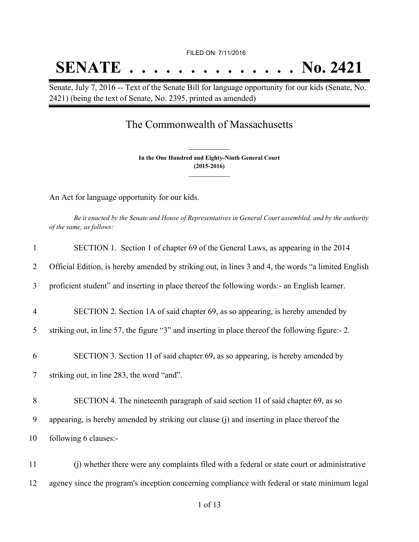# **SENATE . . . . . . . . . . . . . . No. 2421**

Senate, July 7, 2016 -- Text of the Senate Bill for language opportunity for our kids (Senate, No. 2421) (being the text of Senate, No. 2395, printed as amended)

## The Commonwealth of Massachusetts

**In the One Hundred and Eighty-Ninth General Court (2015-2016) \_\_\_\_\_\_\_\_\_\_\_\_\_\_\_**

**\_\_\_\_\_\_\_\_\_\_\_\_\_\_\_**

An Act for language opportunity for our kids.

Be it enacted by the Senate and House of Representatives in General Court assembled, and by the authority *of the same, as follows:*

| $\mathbf{1}$   | SECTION 1. Section 1 of chapter 69 of the General Laws, as appearing in the 2014                    |
|----------------|-----------------------------------------------------------------------------------------------------|
| $\overline{2}$ | Official Edition, is hereby amended by striking out, in lines 3 and 4, the words "a limited English |
| 3              | proficient student" and inserting in place thereof the following words:- an English learner.        |
| $\overline{4}$ | SECTION 2. Section 1A of said chapter 69, as so appearing, is hereby amended by                     |
| 5              | striking out, in line 57, the figure "3" and inserting in place thereof the following figure:- 2.   |
| 6              | SECTION 3. Section 1I of said chapter 69, as so appearing, is hereby amended by                     |
| $\tau$         | striking out, in line 283, the word "and".                                                          |
| 8              | SECTION 4. The nineteenth paragraph of said section 1I of said chapter 69, as so                    |
| 9              | appearing, is hereby amended by striking out clause (j) and inserting in place thereof the          |
| 10             | following 6 clauses:-                                                                               |
| 11             | (i) whether there were any complaints filed with a federal or state court or administrative         |
| 12             | agency since the program's inception concerning compliance with federal or state minimum legal      |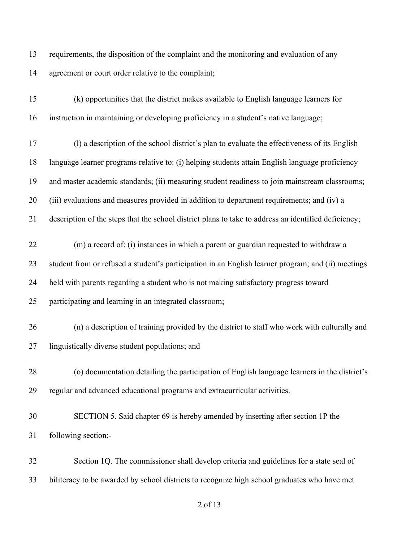requirements, the disposition of the complaint and the monitoring and evaluation of any agreement or court order relative to the complaint;

 (k) opportunities that the district makes available to English language learners for instruction in maintaining or developing proficiency in a student's native language;

 (l) a description of the school district's plan to evaluate the effectiveness of its English language learner programs relative to: (i) helping students attain English language proficiency and master academic standards; (ii) measuring student readiness to join mainstream classrooms; (iii) evaluations and measures provided in addition to department requirements; and (iv) a

description of the steps that the school district plans to take to address an identified deficiency;

 (m) a record of: (i) instances in which a parent or guardian requested to withdraw a student from or refused a student's participation in an English learner program; and (ii) meetings held with parents regarding a student who is not making satisfactory progress toward participating and learning in an integrated classroom;

- (n) a description of training provided by the district to staff who work with culturally and linguistically diverse student populations; and
- (o) documentation detailing the participation of English language learners in the district's regular and advanced educational programs and extracurricular activities.
- SECTION 5. Said chapter 69 is hereby amended by inserting after section 1P the following section:-
- Section 1Q. The commissioner shall develop criteria and guidelines for a state seal of biliteracy to be awarded by school districts to recognize high school graduates who have met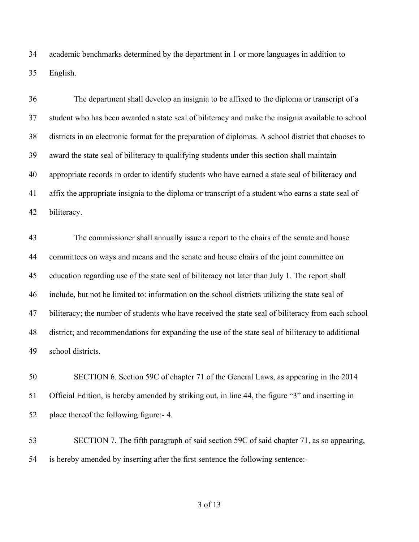academic benchmarks determined by the department in 1 or more languages in addition to English.

 The department shall develop an insignia to be affixed to the diploma or transcript of a student who has been awarded a state seal of biliteracy and make the insignia available to school districts in an electronic format for the preparation of diplomas. A school district that chooses to award the state seal of biliteracy to qualifying students under this section shall maintain appropriate records in order to identify students who have earned a state seal of biliteracy and affix the appropriate insignia to the diploma or transcript of a student who earns a state seal of biliteracy.

 The commissioner shall annually issue a report to the chairs of the senate and house committees on ways and means and the senate and house chairs of the joint committee on education regarding use of the state seal of biliteracy not later than July 1. The report shall include, but not be limited to: information on the school districts utilizing the state seal of biliteracy; the number of students who have received the state seal of biliteracy from each school district; and recommendations for expanding the use of the state seal of biliteracy to additional school districts.

 SECTION 6. Section 59C of chapter 71 of the General Laws, as appearing in the 2014 Official Edition, is hereby amended by striking out, in line 44, the figure "3" and inserting in place thereof the following figure:- 4.

 SECTION 7. The fifth paragraph of said section 59C of said chapter 71, as so appearing, is hereby amended by inserting after the first sentence the following sentence:-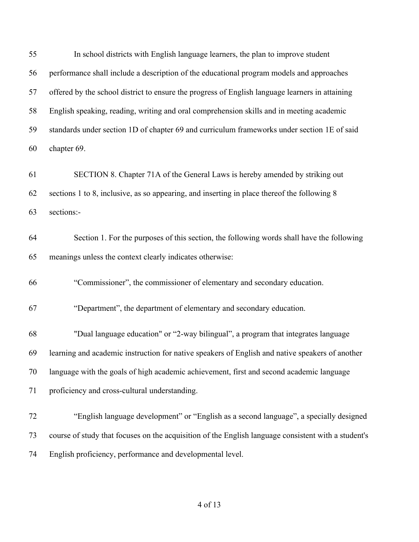| 55 | In school districts with English language learners, the plan to improve student                     |
|----|-----------------------------------------------------------------------------------------------------|
| 56 | performance shall include a description of the educational program models and approaches            |
| 57 | offered by the school district to ensure the progress of English language learners in attaining     |
| 58 | English speaking, reading, writing and oral comprehension skills and in meeting academic            |
| 59 | standards under section 1D of chapter 69 and curriculum frameworks under section 1E of said         |
| 60 | chapter 69.                                                                                         |
| 61 | SECTION 8. Chapter 71A of the General Laws is hereby amended by striking out                        |
| 62 | sections 1 to 8, inclusive, as so appearing, and inserting in place thereof the following 8         |
| 63 | sections:-                                                                                          |
| 64 | Section 1. For the purposes of this section, the following words shall have the following           |
| 65 | meanings unless the context clearly indicates otherwise:                                            |
| 66 | "Commissioner", the commissioner of elementary and secondary education.                             |
| 67 | "Department", the department of elementary and secondary education.                                 |
| 68 | "Dual language education" or "2-way bilingual", a program that integrates language                  |
| 69 | learning and academic instruction for native speakers of English and native speakers of another     |
| 70 | language with the goals of high academic achievement, first and second academic language            |
| 71 | proficiency and cross-cultural understanding.                                                       |
| 72 | "English language development" or "English as a second language", a specially designed              |
| 73 | course of study that focuses on the acquisition of the English language consistent with a student's |
| 74 | English proficiency, performance and developmental level.                                           |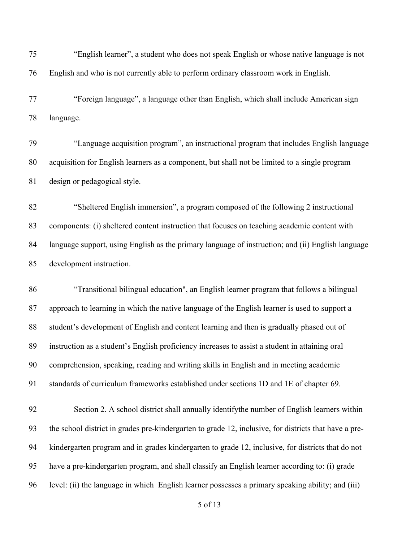"English learner", a student who does not speak English or whose native language is not English and who is not currently able to perform ordinary classroom work in English. "Foreign language", a language other than English, which shall include American sign language. "Language acquisition program", an instructional program that includes English language acquisition for English learners as a component, but shall not be limited to a single program design or pedagogical style. "Sheltered English immersion", a program composed of the following 2 instructional components: (i) sheltered content instruction that focuses on teaching academic content with language support, using English as the primary language of instruction; and (ii) English language development instruction. "Transitional bilingual education", an English learner program that follows a bilingual approach to learning in which the native language of the English learner is used to support a student's development of English and content learning and then is gradually phased out of instruction as a student's English proficiency increases to assist a student in attaining oral comprehension, speaking, reading and writing skills in English and in meeting academic standards of curriculum frameworks established under sections 1D and 1E of chapter 69. Section 2. A school district shall annually identifythe number of English learners within the school district in grades pre-kindergarten to grade 12, inclusive, for districts that have a pre- kindergarten program and in grades kindergarten to grade 12, inclusive, for districts that do not have a pre-kindergarten program, and shall classify an English learner according to: (i) grade level: (ii) the language in which English learner possesses a primary speaking ability; and (iii)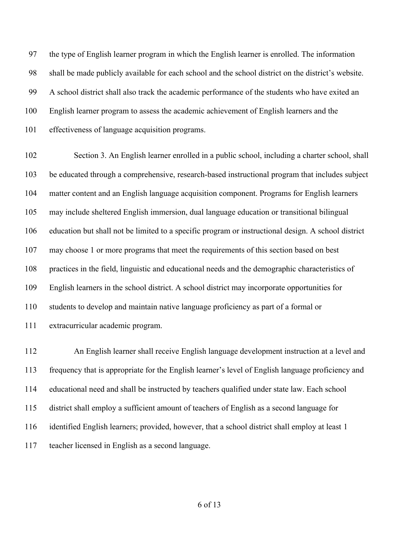the type of English learner program in which the English learner is enrolled. The information shall be made publicly available for each school and the school district on the district's website. A school district shall also track the academic performance of the students who have exited an English learner program to assess the academic achievement of English learners and the effectiveness of language acquisition programs.

 Section 3. An English learner enrolled in a public school, including a charter school, shall be educated through a comprehensive, research-based instructional program that includes subject matter content and an English language acquisition component. Programs for English learners may include sheltered English immersion, dual language education or transitional bilingual education but shall not be limited to a specific program or instructional design. A school district may choose 1 or more programs that meet the requirements of this section based on best practices in the field, linguistic and educational needs and the demographic characteristics of English learners in the school district. A school district may incorporate opportunities for students to develop and maintain native language proficiency as part of a formal or extracurricular academic program.

 An English learner shall receive English language development instruction at a level and frequency that is appropriate for the English learner's level of English language proficiency and educational need and shall be instructed by teachers qualified under state law. Each school district shall employ a sufficient amount of teachers of English as a second language for identified English learners; provided, however, that a school district shall employ at least 1 teacher licensed in English as a second language.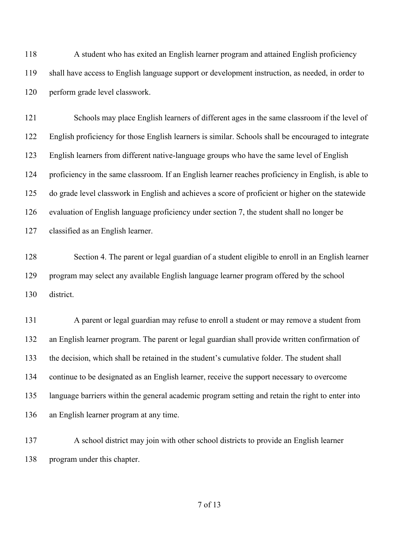A student who has exited an English learner program and attained English proficiency shall have access to English language support or development instruction, as needed, in order to perform grade level classwork.

 Schools may place English learners of different ages in the same classroom if the level of English proficiency for those English learners is similar. Schools shall be encouraged to integrate English learners from different native-language groups who have the same level of English proficiency in the same classroom. If an English learner reaches proficiency in English, is able to do grade level classwork in English and achieves a score of proficient or higher on the statewide evaluation of English language proficiency under section 7, the student shall no longer be classified as an English learner.

 Section 4. The parent or legal guardian of a student eligible to enroll in an English learner program may select any available English language learner program offered by the school district.

 A parent or legal guardian may refuse to enroll a student or may remove a student from an English learner program. The parent or legal guardian shall provide written confirmation of the decision, which shall be retained in the student's cumulative folder. The student shall continue to be designated as an English learner, receive the support necessary to overcome language barriers within the general academic program setting and retain the right to enter into an English learner program at any time.

 A school district may join with other school districts to provide an English learner program under this chapter.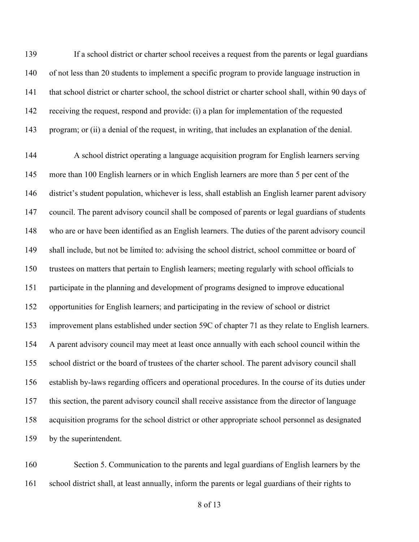If a school district or charter school receives a request from the parents or legal guardians of not less than 20 students to implement a specific program to provide language instruction in that school district or charter school, the school district or charter school shall, within 90 days of receiving the request, respond and provide: (i) a plan for implementation of the requested program; or (ii) a denial of the request, in writing, that includes an explanation of the denial.

 A school district operating a language acquisition program for English learners serving more than 100 English learners or in which English learners are more than 5 per cent of the district's student population, whichever is less, shall establish an English learner parent advisory council. The parent advisory council shall be composed of parents or legal guardians of students who are or have been identified as an English learners. The duties of the parent advisory council 149 shall include, but not be limited to: advising the school district, school committee or board of trustees on matters that pertain to English learners; meeting regularly with school officials to participate in the planning and development of programs designed to improve educational opportunities for English learners; and participating in the review of school or district improvement plans established under section 59C of chapter 71 as they relate to English learners. A parent advisory council may meet at least once annually with each school council within the school district or the board of trustees of the charter school. The parent advisory council shall establish by-laws regarding officers and operational procedures. In the course of its duties under this section, the parent advisory council shall receive assistance from the director of language acquisition programs for the school district or other appropriate school personnel as designated by the superintendent.

 Section 5. Communication to the parents and legal guardians of English learners by the school district shall, at least annually, inform the parents or legal guardians of their rights to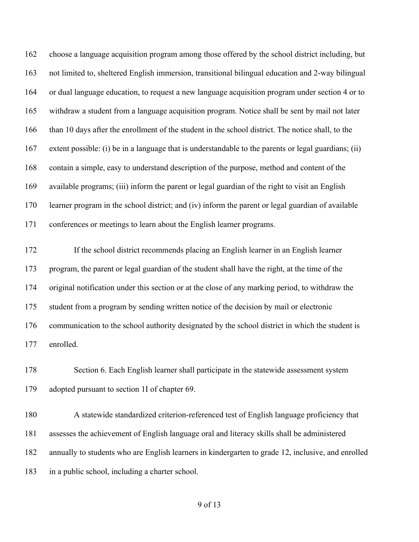choose a language acquisition program among those offered by the school district including, but not limited to, sheltered English immersion, transitional bilingual education and 2-way bilingual or dual language education, to request a new language acquisition program under section 4 or to withdraw a student from a language acquisition program. Notice shall be sent by mail not later than 10 days after the enrollment of the student in the school district. The notice shall, to the extent possible: (i) be in a language that is understandable to the parents or legal guardians; (ii) contain a simple, easy to understand description of the purpose, method and content of the available programs; (iii) inform the parent or legal guardian of the right to visit an English learner program in the school district; and (iv) inform the parent or legal guardian of available conferences or meetings to learn about the English learner programs.

 If the school district recommends placing an English learner in an English learner program, the parent or legal guardian of the student shall have the right, at the time of the original notification under this section or at the close of any marking period, to withdraw the student from a program by sending written notice of the decision by mail or electronic communication to the school authority designated by the school district in which the student is enrolled.

 Section 6. Each English learner shall participate in the statewide assessment system adopted pursuant to section 1I of chapter 69.

 A statewide standardized criterion-referenced test of English language proficiency that assesses the achievement of English language oral and literacy skills shall be administered annually to students who are English learners in kindergarten to grade 12, inclusive, and enrolled in a public school, including a charter school.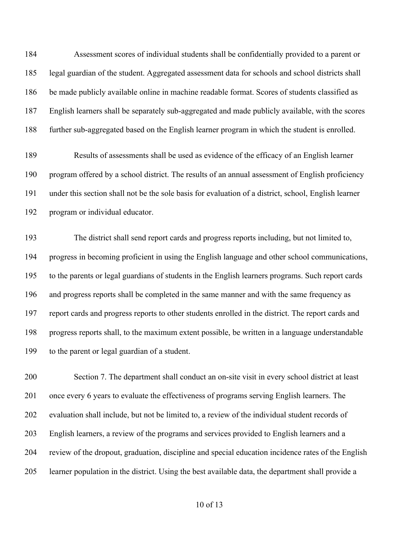Assessment scores of individual students shall be confidentially provided to a parent or legal guardian of the student. Aggregated assessment data for schools and school districts shall be made publicly available online in machine readable format. Scores of students classified as English learners shall be separately sub-aggregated and made publicly available, with the scores further sub-aggregated based on the English learner program in which the student is enrolled.

 Results of assessments shall be used as evidence of the efficacy of an English learner program offered by a school district. The results of an annual assessment of English proficiency under this section shall not be the sole basis for evaluation of a district, school, English learner program or individual educator.

 The district shall send report cards and progress reports including, but not limited to, progress in becoming proficient in using the English language and other school communications, to the parents or legal guardians of students in the English learners programs. Such report cards and progress reports shall be completed in the same manner and with the same frequency as report cards and progress reports to other students enrolled in the district. The report cards and progress reports shall, to the maximum extent possible, be written in a language understandable to the parent or legal guardian of a student.

 Section 7. The department shall conduct an on-site visit in every school district at least 201 once every 6 years to evaluate the effectiveness of programs serving English learners. The evaluation shall include, but not be limited to, a review of the individual student records of English learners, a review of the programs and services provided to English learners and a review of the dropout, graduation, discipline and special education incidence rates of the English learner population in the district. Using the best available data, the department shall provide a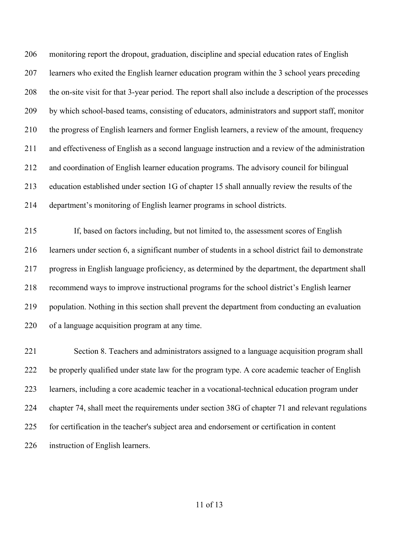monitoring report the dropout, graduation, discipline and special education rates of English learners who exited the English learner education program within the 3 school years preceding the on-site visit for that 3-year period. The report shall also include a description of the processes by which school-based teams, consisting of educators, administrators and support staff, monitor the progress of English learners and former English learners, a review of the amount, frequency and effectiveness of English as a second language instruction and a review of the administration and coordination of English learner education programs. The advisory council for bilingual education established under section 1G of chapter 15 shall annually review the results of the department's monitoring of English learner programs in school districts.

 If, based on factors including, but not limited to, the assessment scores of English learners under section 6, a significant number of students in a school district fail to demonstrate progress in English language proficiency, as determined by the department, the department shall recommend ways to improve instructional programs for the school district's English learner population. Nothing in this section shall prevent the department from conducting an evaluation of a language acquisition program at any time.

 Section 8. Teachers and administrators assigned to a language acquisition program shall 222 be properly qualified under state law for the program type. A core academic teacher of English learners, including a core academic teacher in a vocational-technical education program under chapter 74, shall meet the requirements under section 38G of chapter 71 and relevant regulations for certification in the teacher's subject area and endorsement or certification in content instruction of English learners.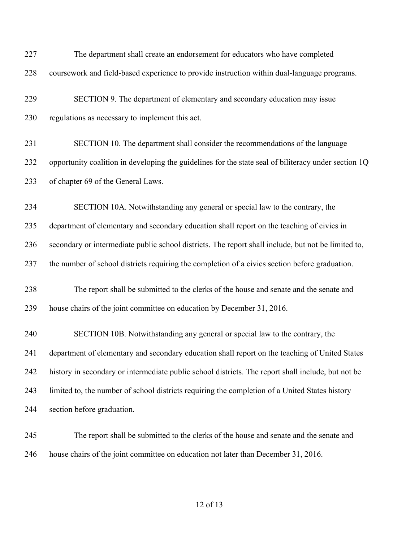| 227 | The department shall create an endorsement for educators who have completed                          |
|-----|------------------------------------------------------------------------------------------------------|
| 228 | coursework and field-based experience to provide instruction within dual-language programs.          |
| 229 | SECTION 9. The department of elementary and secondary education may issue                            |
| 230 | regulations as necessary to implement this act.                                                      |
| 231 | SECTION 10. The department shall consider the recommendations of the language                        |
| 232 | opportunity coalition in developing the guidelines for the state seal of biliteracy under section 1Q |
| 233 | of chapter 69 of the General Laws.                                                                   |
| 234 | SECTION 10A. Notwithstanding any general or special law to the contrary, the                         |
| 235 | department of elementary and secondary education shall report on the teaching of civics in           |
| 236 | secondary or intermediate public school districts. The report shall include, but not be limited to,  |
| 237 | the number of school districts requiring the completion of a civics section before graduation.       |
| 238 | The report shall be submitted to the clerks of the house and senate and the senate and               |
| 239 | house chairs of the joint committee on education by December 31, 2016.                               |
| 240 | SECTION 10B. Notwithstanding any general or special law to the contrary, the                         |
| 241 | department of elementary and secondary education shall report on the teaching of United States       |
| 242 | history in secondary or intermediate public school districts. The report shall include, but not be   |
| 243 | limited to, the number of school districts requiring the completion of a United States history       |
| 244 | section before graduation.                                                                           |
| 245 | The report shall be submitted to the clerks of the house and senate and the senate and               |
| 246 | house chairs of the joint committee on education not later than December 31, 2016.                   |